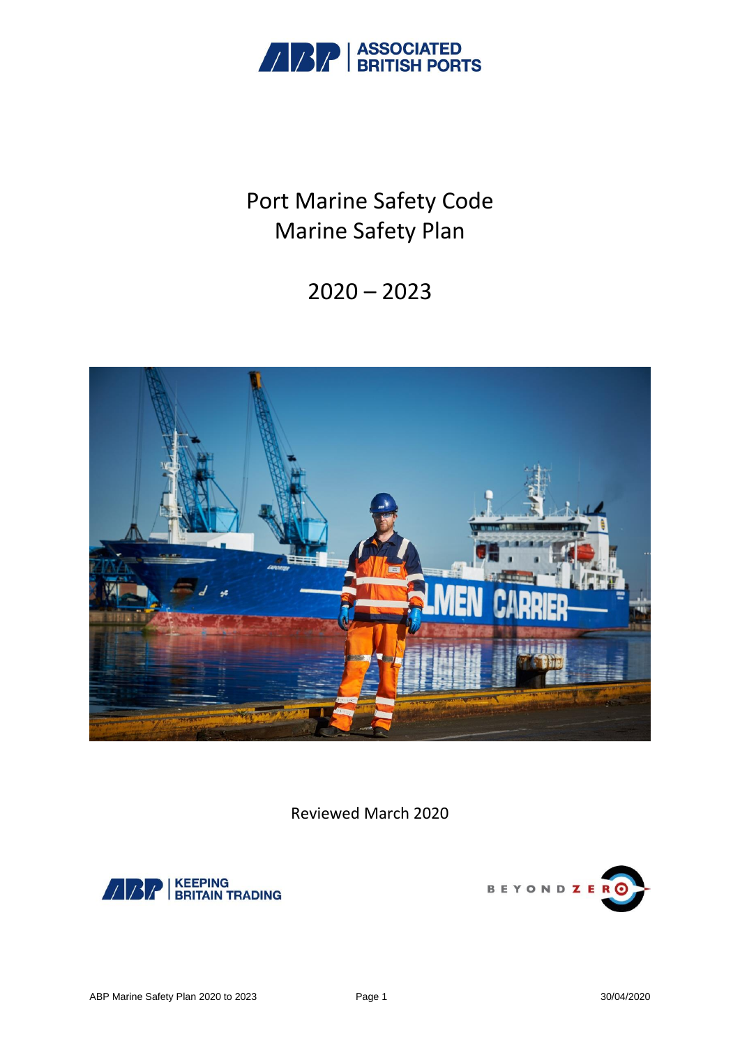

# Port Marine Safety Code Marine Safety Plan

## $2020 - 2023$



Reviewed March 2020



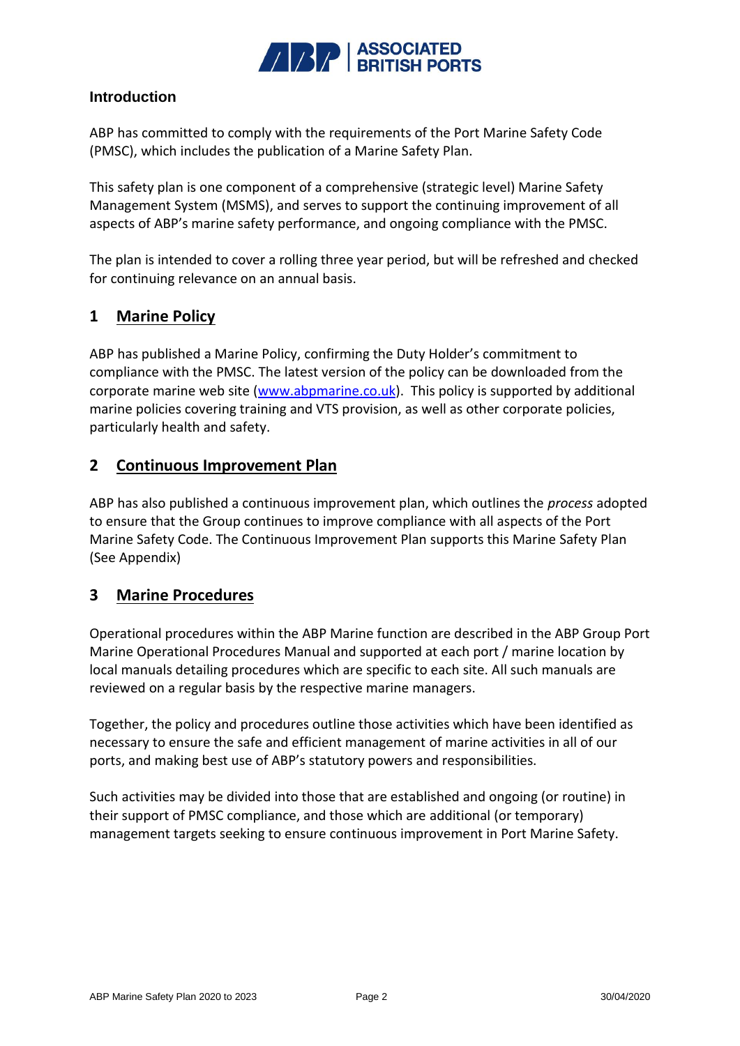

#### **Introduction**

ABP has committed to comply with the requirements of the Port Marine Safety Code (PMSC), which includes the publication of a Marine Safety Plan.

This safety plan is one component of a comprehensive (strategic level) Marine Safety Management System (MSMS), and serves to support the continuing improvement of all aspects of ABP's marine safety performance, and ongoing compliance with the PMSC.

The plan is intended to cover a rolling three year period, but will be refreshed and checked for continuing relevance on an annual basis.

#### **1 Marine Policy**

ABP has published a Marine Policy, confirming the Duty Holder's commitment to compliance with the PMSC. The latest version of the policy can be downloaded from the corporate marine web site [\(www.abpmarine.co.uk\)](http://www.abpmarine.co.uk/). This policy is supported by additional marine policies covering training and VTS provision, as well as other corporate policies, particularly health and safety.

#### **2 Continuous Improvement Plan**

ABP has also published a continuous improvement plan, which outlines the *process* adopted to ensure that the Group continues to improve compliance with all aspects of the Port Marine Safety Code. The Continuous Improvement Plan supports this Marine Safety Plan (See Appendix)

## **3 Marine Procedures**

Operational procedures within the ABP Marine function are described in the ABP Group Port Marine Operational Procedures Manual and supported at each port / marine location by local manuals detailing procedures which are specific to each site. All such manuals are reviewed on a regular basis by the respective marine managers.

Together, the policy and procedures outline those activities which have been identified as necessary to ensure the safe and efficient management of marine activities in all of our ports, and making best use of ABP's statutory powers and responsibilities.

Such activities may be divided into those that are established and ongoing (or routine) in their support of PMSC compliance, and those which are additional (or temporary) management targets seeking to ensure continuous improvement in Port Marine Safety.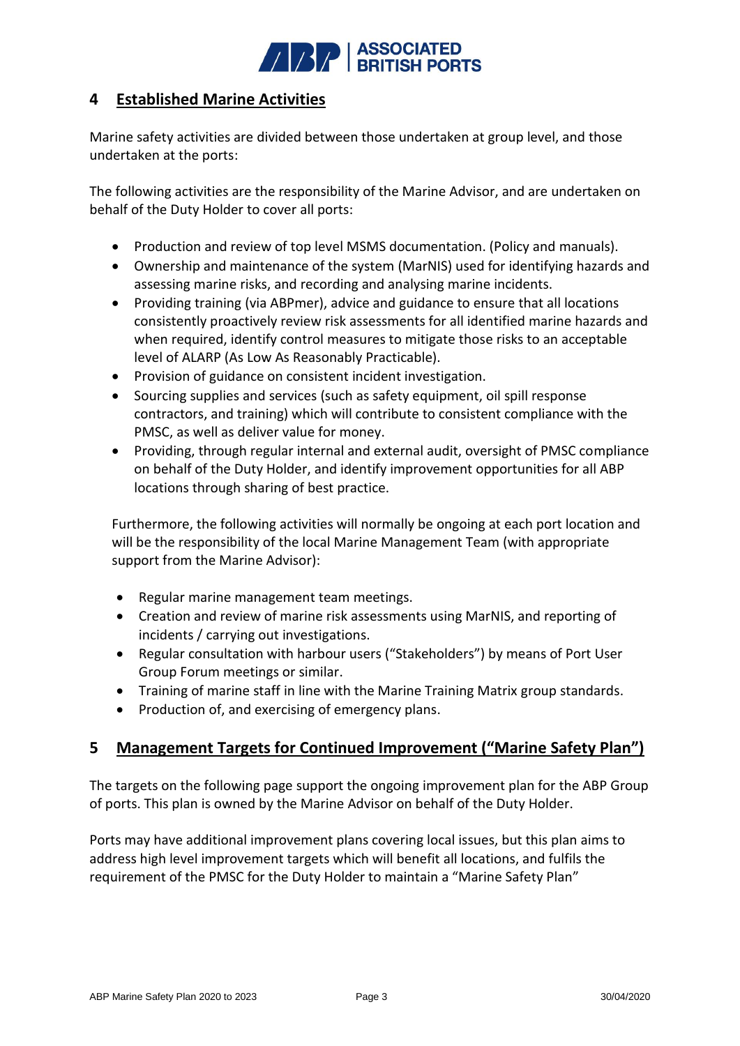

## **4 Established Marine Activities**

Marine safety activities are divided between those undertaken at group level, and those undertaken at the ports:

The following activities are the responsibility of the Marine Advisor, and are undertaken on behalf of the Duty Holder to cover all ports:

- Production and review of top level MSMS documentation. (Policy and manuals).
- Ownership and maintenance of the system (MarNIS) used for identifying hazards and assessing marine risks, and recording and analysing marine incidents.
- Providing training (via ABPmer), advice and guidance to ensure that all locations consistently proactively review risk assessments for all identified marine hazards and when required, identify control measures to mitigate those risks to an acceptable level of ALARP (As Low As Reasonably Practicable).
- Provision of guidance on consistent incident investigation.
- Sourcing supplies and services (such as safety equipment, oil spill response contractors, and training) which will contribute to consistent compliance with the PMSC, as well as deliver value for money.
- Providing, through regular internal and external audit, oversight of PMSC compliance on behalf of the Duty Holder, and identify improvement opportunities for all ABP locations through sharing of best practice.

Furthermore, the following activities will normally be ongoing at each port location and will be the responsibility of the local Marine Management Team (with appropriate support from the Marine Advisor):

- Regular marine management team meetings.
- Creation and review of marine risk assessments using MarNIS, and reporting of incidents / carrying out investigations.
- Regular consultation with harbour users ("Stakeholders") by means of Port User Group Forum meetings or similar.
- Training of marine staff in line with the Marine Training Matrix group standards.
- Production of, and exercising of emergency plans.

## **5 Management Targets for Continued Improvement ("Marine Safety Plan")**

The targets on the following page support the ongoing improvement plan for the ABP Group of ports. This plan is owned by the Marine Advisor on behalf of the Duty Holder.

Ports may have additional improvement plans covering local issues, but this plan aims to address high level improvement targets which will benefit all locations, and fulfils the requirement of the PMSC for the Duty Holder to maintain a "Marine Safety Plan"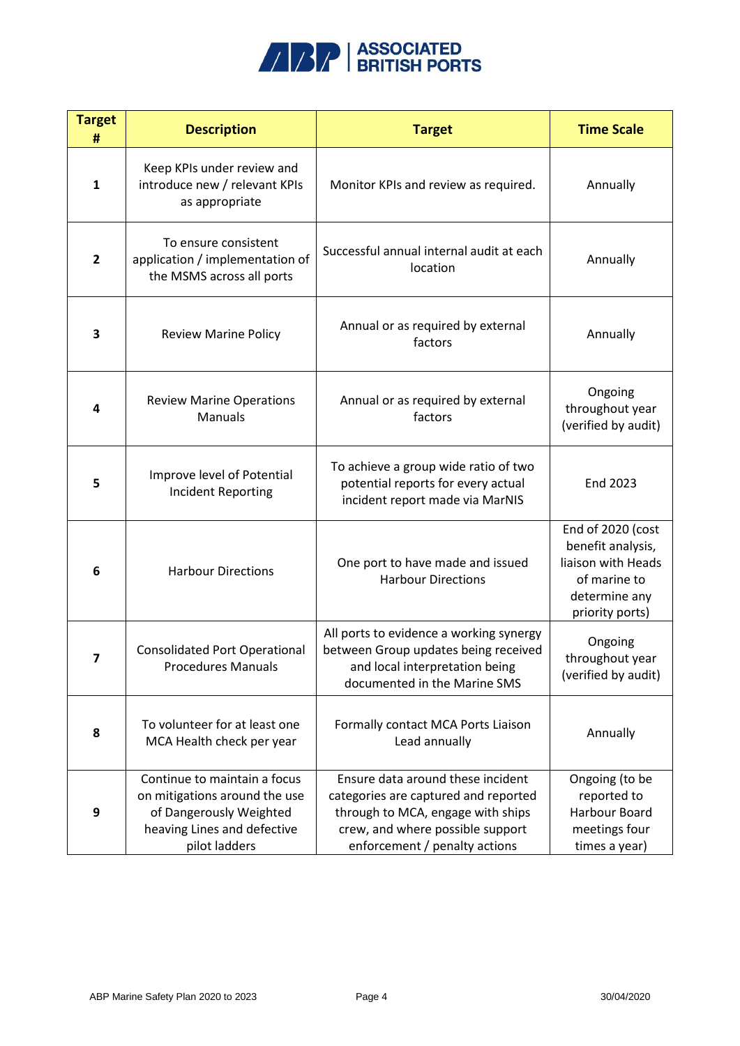

| <b>Target</b><br># | <b>Description</b>                                                                                                                       | <b>Target</b>                                                                                                                                                                       | <b>Time Scale</b>                                                                                                |
|--------------------|------------------------------------------------------------------------------------------------------------------------------------------|-------------------------------------------------------------------------------------------------------------------------------------------------------------------------------------|------------------------------------------------------------------------------------------------------------------|
| $\mathbf{1}$       | Keep KPIs under review and<br>introduce new / relevant KPIs<br>as appropriate                                                            | Monitor KPIs and review as required.                                                                                                                                                | Annually                                                                                                         |
| $\overline{2}$     | To ensure consistent<br>application / implementation of<br>the MSMS across all ports                                                     | Successful annual internal audit at each<br>location                                                                                                                                | Annually                                                                                                         |
| 3                  | <b>Review Marine Policy</b>                                                                                                              | Annual or as required by external<br>factors                                                                                                                                        | Annually                                                                                                         |
| 4                  | <b>Review Marine Operations</b><br><b>Manuals</b>                                                                                        | Annual or as required by external<br>factors                                                                                                                                        | Ongoing<br>throughout year<br>(verified by audit)                                                                |
| 5                  | Improve level of Potential<br><b>Incident Reporting</b>                                                                                  | To achieve a group wide ratio of two<br>potential reports for every actual<br>incident report made via MarNIS                                                                       | End 2023                                                                                                         |
| 6                  | <b>Harbour Directions</b>                                                                                                                | One port to have made and issued<br><b>Harbour Directions</b>                                                                                                                       | End of 2020 (cost<br>benefit analysis,<br>liaison with Heads<br>of marine to<br>determine any<br>priority ports) |
| $\overline{7}$     | <b>Consolidated Port Operational</b><br><b>Procedures Manuals</b>                                                                        | All ports to evidence a working synergy<br>between Group updates being received<br>and local interpretation being<br>documented in the Marine SMS                                   | Ongoing<br>throughout year<br>(verified by audit)                                                                |
| 8                  | To volunteer for at least one<br>MCA Health check per year                                                                               | Formally contact MCA Ports Liaison<br>Lead annually                                                                                                                                 | Annually                                                                                                         |
| 9                  | Continue to maintain a focus<br>on mitigations around the use<br>of Dangerously Weighted<br>heaving Lines and defective<br>pilot ladders | Ensure data around these incident<br>categories are captured and reported<br>through to MCA, engage with ships<br>crew, and where possible support<br>enforcement / penalty actions | Ongoing (to be<br>reported to<br>Harbour Board<br>meetings four<br>times a year)                                 |